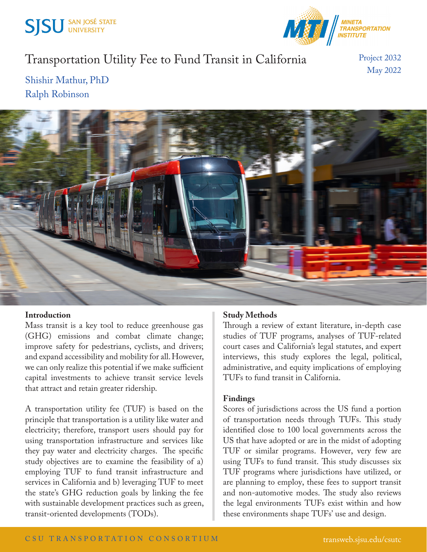



# Transportation Utility Fee to Fund Transit in California

Project 2032 May 2022

## Shishir Mathur, PhD Ralph Robinson



#### **Introduction**

Mass transit is a key tool to reduce greenhouse gas (GHG) emissions and combat climate change; improve safety for pedestrians, cyclists, and drivers; and expand accessibility and mobility for all. However, we can only realize this potential if we make sufficient capital investments to achieve transit service levels that attract and retain greater ridership.

A transportation utility fee (TUF) is based on the principle that transportation is a utility like water and electricity; therefore, transport users should pay for using transportation infrastructure and services like they pay water and electricity charges. The specific study objectives are to examine the feasibility of a) employing TUF to fund transit infrastructure and services in California and b) leveraging TUF to meet the state's GHG reduction goals by linking the fee with sustainable development practices such as green, transit-oriented developments (TODs).

### **Study Methods**

Through a review of extant literature, in-depth case studies of TUF programs, analyses of TUF-related court cases and California's legal statutes, and expert interviews, this study explores the legal, political, administrative, and equity implications of employing TUFs to fund transit in California.

#### **Findings**

Scores of jurisdictions across the US fund a portion of transportation needs through TUFs. This study identified close to 100 local governments across the US that have adopted or are in the midst of adopting TUF or similar programs. However, very few are using TUFs to fund transit. This study discusses six TUF programs where jurisdictions have utilized, or are planning to employ, these fees to support transit and non-automotive modes. The study also reviews the legal environments TUFs exist within and how these environments shape TUFs' use and design.